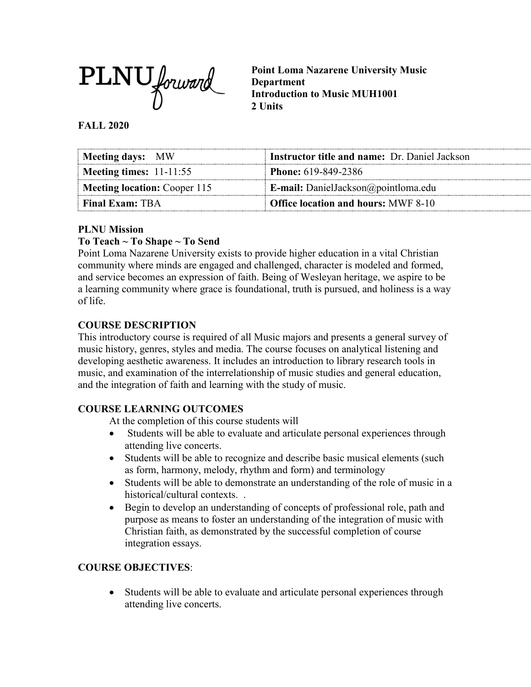

**Point Loma Nazarene University Music Department Introduction to Music MUH1001 2 Units**

#### **FALL 2020**

| Meeting days: MW                    | <b>Instructor title and name: Dr. Daniel Jackson</b> |
|-------------------------------------|------------------------------------------------------|
| Meeting times: $11-11:55$           | <b>Phone:</b> 619-849-2386                           |
| <b>Meeting location: Cooper 115</b> | <b>E-mail:</b> DanielJackson@pointloma.edu           |
| <b>Final Exam: TBA</b>              | Office location and hours: MWF 8-10                  |

## **PLNU Mission**

## **To Teach ~ To Shape ~ To Send**

Point Loma Nazarene University exists to provide higher education in a vital Christian community where minds are engaged and challenged, character is modeled and formed, and service becomes an expression of faith. Being of Wesleyan heritage, we aspire to be a learning community where grace is foundational, truth is pursued, and holiness is a way of life.

## **COURSE DESCRIPTION**

This introductory course is required of all Music majors and presents a general survey of music history, genres, styles and media. The course focuses on analytical listening and developing aesthetic awareness. It includes an introduction to library research tools in music, and examination of the interrelationship of music studies and general education, and the integration of faith and learning with the study of music.

## **COURSE LEARNING OUTCOMES**

At the completion of this course students will

- Students will be able to evaluate and articulate personal experiences through attending live concerts.
- Students will be able to recognize and describe basic musical elements (such as form, harmony, melody, rhythm and form) and terminology
- Students will be able to demonstrate an understanding of the role of music in a historical/cultural contexts. .
- Begin to develop an understanding of concepts of professional role, path and purpose as means to foster an understanding of the integration of music with Christian faith, as demonstrated by the successful completion of course integration essays.

## **COURSE OBJECTIVES**:

• Students will be able to evaluate and articulate personal experiences through attending live concerts.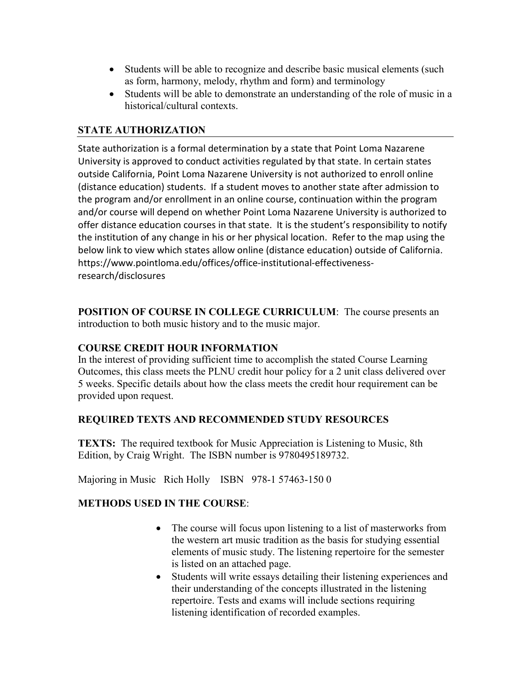- Students will be able to recognize and describe basic musical elements (such as form, harmony, melody, rhythm and form) and terminology
- Students will be able to demonstrate an understanding of the role of music in a historical/cultural contexts.

# **STATE AUTHORIZATION**

State authorization is a formal determination by a state that Point Loma Nazarene University is approved to conduct activities regulated by that state. In certain states outside California, Point Loma Nazarene University is not authorized to enroll online (distance education) students. If a student moves to another state after admission to the program and/or enrollment in an online course, continuation within the program and/or course will depend on whether Point Loma Nazarene University is authorized to offer distance education courses in that state. It is the student's responsibility to notify the institution of any change in his or her physical location. Refer to the map using the below link to view which states allow online (distance education) outside of California. [https://www.pointloma.edu/offices/office-institutional-effectiveness](https://www.pointloma.edu/offices/office-institutional-effectiveness-research/disclosures)[research/disclosures](https://www.pointloma.edu/offices/office-institutional-effectiveness-research/disclosures)

**POSITION OF COURSE IN COLLEGE CURRICULUM**: The course presents an introduction to both music history and to the music major.

## **COURSE CREDIT HOUR INFORMATION**

In the interest of providing sufficient time to accomplish the stated Course Learning Outcomes, this class meets the PLNU credit hour policy for a 2 unit class delivered over 5 weeks. Specific details about how the class meets the credit hour requirement can be provided upon request.

## **REQUIRED TEXTS AND RECOMMENDED STUDY RESOURCES**

**TEXTS:** The required textbook for Music Appreciation is Listening to Music, 8th Edition, by Craig Wright. The ISBN number is 9780495189732.

Majoring in Music Rich Holly ISBN 978-1 57463-150 0

# **METHODS USED IN THE COURSE**:

- The course will focus upon listening to a list of masterworks from the western art music tradition as the basis for studying essential elements of music study. The listening repertoire for the semester is listed on an attached page.
- Students will write essays detailing their listening experiences and their understanding of the concepts illustrated in the listening repertoire. Tests and exams will include sections requiring listening identification of recorded examples.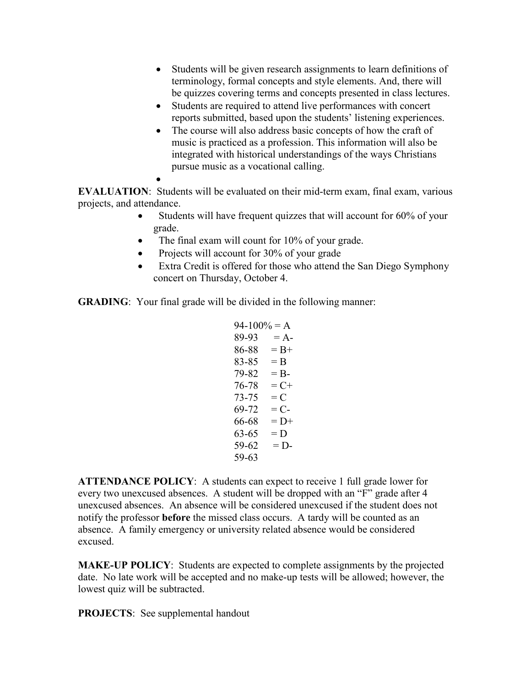- Students will be given research assignments to learn definitions of terminology, formal concepts and style elements. And, there will be quizzes covering terms and concepts presented in class lectures.
- Students are required to attend live performances with concert reports submitted, based upon the students' listening experiences.
- The course will also address basic concepts of how the craft of music is practiced as a profession. This information will also be integrated with historical understandings of the ways Christians pursue music as a vocational calling.

• **EVALUATION**: Students will be evaluated on their mid-term exam, final exam, various projects, and attendance.

- Students will have frequent quizzes that will account for 60% of your grade.
- The final exam will count for 10% of your grade.
- Projects will account for 30% of your grade
- Extra Credit is offered for those who attend the San Diego Symphony concert on Thursday, October 4.

**GRADING**: Your final grade will be divided in the following manner:

```
94-100% = A89-93 = A86-88 = B+83-85 = B79-82 = B76-78 = C+73-75 = C69-72 = C66-68 = D+63-65 = D59-62 = D59-63
```
**ATTENDANCE POLICY**: A students can expect to receive 1 full grade lower for every two unexcused absences. A student will be dropped with an "F" grade after 4 unexcused absences. An absence will be considered unexcused if the student does not notify the professor **before** the missed class occurs. A tardy will be counted as an absence. A family emergency or university related absence would be considered excused.

**MAKE-UP POLICY**: Students are expected to complete assignments by the projected date. No late work will be accepted and no make-up tests will be allowed; however, the lowest quiz will be subtracted.

**PROJECTS**: See supplemental handout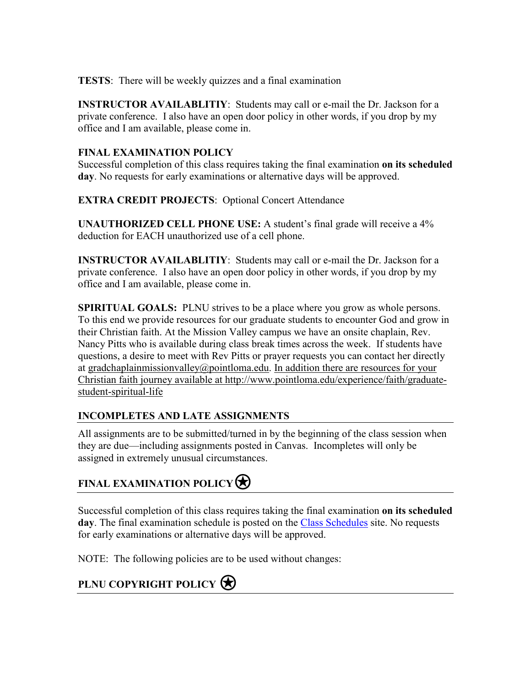**TESTS**: There will be weekly quizzes and a final examination

**INSTRUCTOR AVAILABLITIY**: Students may call or e-mail the Dr. Jackson for a private conference. I also have an open door policy in other words, if you drop by my office and I am available, please come in.

# **FINAL EXAMINATION POLICY**

Successful completion of this class requires taking the final examination **on its scheduled day**. No requests for early examinations or alternative days will be approved.

**EXTRA CREDIT PROJECTS**: Optional Concert Attendance

**UNAUTHORIZED CELL PHONE USE:** A student's final grade will receive a 4% deduction for EACH unauthorized use of a cell phone.

**INSTRUCTOR AVAILABLITIY**: Students may call or e-mail the Dr. Jackson for a private conference. I also have an open door policy in other words, if you drop by my office and I am available, please come in.

**SPIRITUAL GOALS:** PLNU strives to be a place where you grow as whole persons. To this end we provide resources for our graduate students to encounter God and grow in their Christian faith. At the Mission Valley campus we have an onsite chaplain, Rev. Nancy Pitts who is available during class break times across the week. If students have questions, a desire to meet with Rev Pitts or prayer requests you can contact her directly at [gradchaplainmissionvalley@pointloma.edu.](mailto:gradchaplainmissionvalley@pointloma.edu) In addition there are resources for your Christian faith journey available at [http://www.pointloma.edu/experience/faith/graduate](mailto:gradchaplainmissionvalley@pointloma.edu.%20%20%0dIn%20addition%20there%20are%20resources%20for%20your%20Christian%20faith%20journey%20are%20available%20at%20http://www.pointloma.edu/SpiritualDevelopment/Graduate_Students.htm.%0b)[student-spiritual-life](mailto:gradchaplainmissionvalley@pointloma.edu.%20%20%0dIn%20addition%20there%20are%20resources%20for%20your%20Christian%20faith%20journey%20are%20available%20at%20http://www.pointloma.edu/SpiritualDevelopment/Graduate_Students.htm.%0b)

# **INCOMPLETES AND LATE ASSIGNMENTS**

All assignments are to be submitted/turned in by the beginning of the class session when they are due—including assignments posted in Canvas. Incompletes will only be assigned in extremely unusual circumstances.

# **FINAL EXAMINATION POLICY**

Successful completion of this class requires taking the final examination **on its scheduled day**. The final examination schedule is posted on the [Class Schedules](http://www.pointloma.edu/experience/academics/class-schedules) site. No requests for early examinations or alternative days will be approved.

NOTE: The following policies are to be used without changes:

# **PLNU COPYRIGHT POLICY**